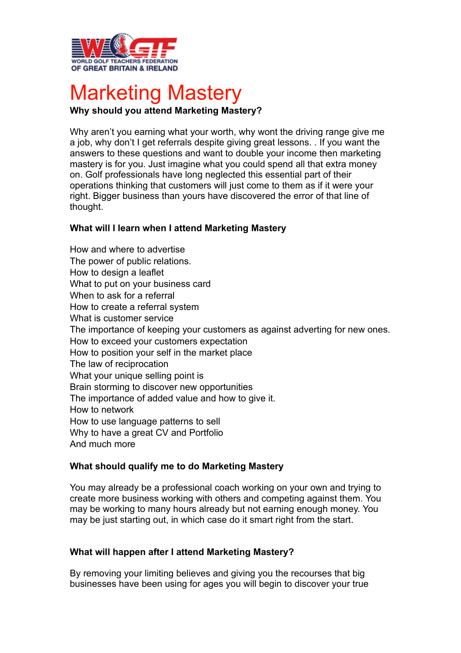

# Marketing Mastery

# **Why should you attend Marketing Mastery?**

Why aren't you earning what your worth, why wont the driving range give me a job, why don't I get referrals despite giving great lessons. . If you want the answers to these questions and want to double your income then marketing mastery is for you. Just imagine what you could spend all that extra money on. Golf professionals have long neglected this essential part of their operations thinking that customers will just come to them as if it were your right. Bigger business than yours have discovered the error of that line of thought.

## **What will I learn when I attend Marketing Mastery**

How and where to advertise The power of public relations. How to design a leaflet What to put on your business card When to ask for a referral How to create a referral system What is customer service The importance of keeping your customers as against adverting for new ones. How to exceed your customers expectation How to position your self in the market place The law of reciprocation What your unique selling point is Brain storming to discover new opportunities The importance of added value and how to give it. How to network How to use language patterns to sell Why to have a great CV and Portfolio And much more

### **What should qualify me to do Marketing Mastery**

You may already be a professional coach working on your own and trying to create more business working with others and competing against them. You may be working to many hours already but not earning enough money. You may be just starting out, in which case do it smart right from the start.

### **What will happen after I attend Marketing Mastery?**

By removing your limiting believes and giving you the recourses that big businesses have been using for ages you will begin to discover your true